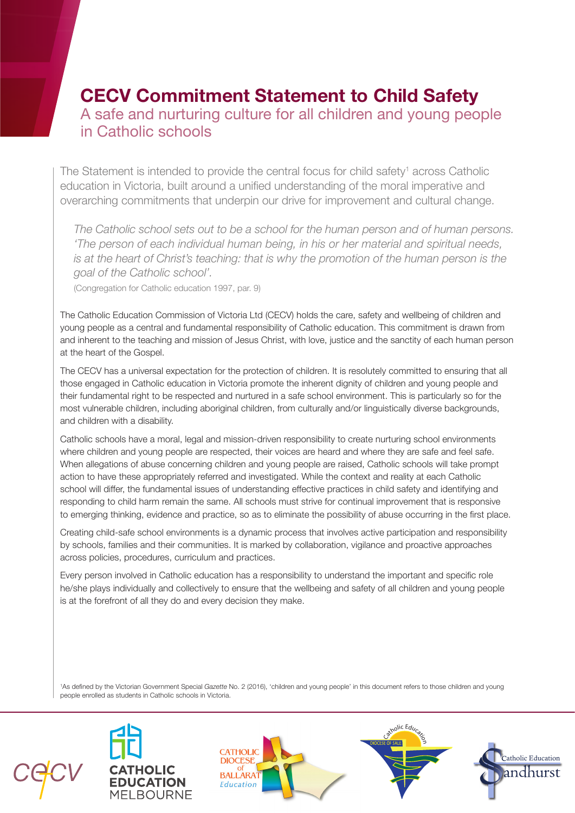# **CECV Commitment Statement to Child Safety** A safe and nurturing culture for all children and young people in Catholic schools

The Statement is intended to provide the central focus for child safety<sup>1</sup> across Catholic education in Victoria, built around a unified understanding of the moral imperative and overarching commitments that underpin our drive for improvement and cultural change.

*The Catholic school sets out to be a school for the human person and of human persons. 'The person of each individual human being, in his or her material and spiritual needs, is at the heart of Christ's teaching: that is why the promotion of the human person is the goal of the Catholic school'.*

(Congregation for Catholic education 1997, par. 9)

The Catholic Education Commission of Victoria Ltd (CECV) holds the care, safety and wellbeing of children and young people as a central and fundamental responsibility of Catholic education. This commitment is drawn from and inherent to the teaching and mission of Jesus Christ, with love, justice and the sanctity of each human person at the heart of the Gospel.

The CECV has a universal expectation for the protection of children. It is resolutely committed to ensuring that all those engaged in Catholic education in Victoria promote the inherent dignity of children and young people and their fundamental right to be respected and nurtured in a safe school environment. This is particularly so for the most vulnerable children, including aboriginal children, from culturally and/or linguistically diverse backgrounds, and children with a disability.

Catholic schools have a moral, legal and mission-driven responsibility to create nurturing school environments where children and young people are respected, their voices are heard and where they are safe and feel safe. When allegations of abuse concerning children and young people are raised, Catholic schools will take prompt action to have these appropriately referred and investigated. While the context and reality at each Catholic school will differ, the fundamental issues of understanding effective practices in child safety and identifying and responding to child harm remain the same. All schools must strive for continual improvement that is responsive to emerging thinking, evidence and practice, so as to eliminate the possibility of abuse occurring in the first place.

Creating child-safe school environments is a dynamic process that involves active participation and responsibility by schools, families and their communities. It is marked by collaboration, vigilance and proactive approaches across policies, procedures, curriculum and practices.

Every person involved in Catholic education has a responsibility to understand the important and specific role he/she plays individually and collectively to ensure that the wellbeing and safety of all children and young people is at the forefront of all they do and every decision they make.

1 As defined by the Victorian Government Special *Gazette* No. 2 (2016), 'children and young people' in this document refers to those children and young people enrolled as students in Catholic schools in Victoria.